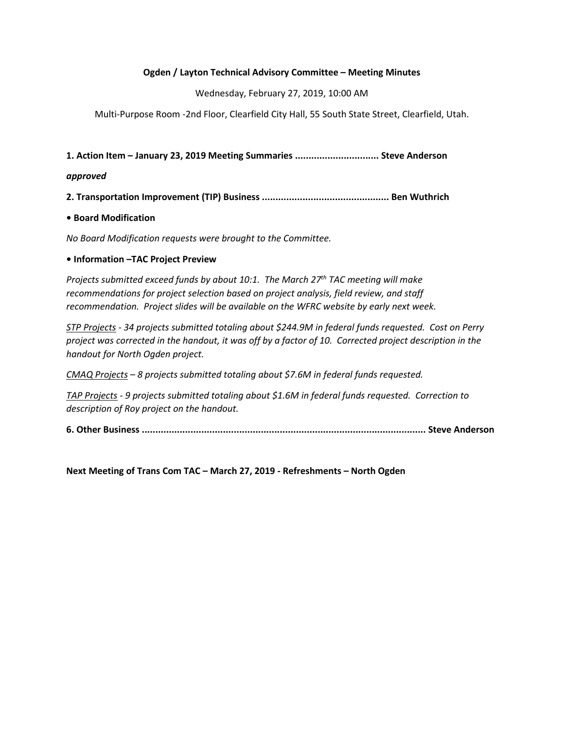## Ogden / Layton Technical Advisory Committee – Meeting Minutes

Wednesday, February 27, 2019, 10:00 AM

Multi-Purpose Room -2nd Floor, Clearfield City Hall, 55 South State Street, Clearfield, Utah.

1. Action Item – January 23, 2019 Meeting Summaries ............................... Steve Anderson

#### approved

2. Transportation Improvement (TIP) Business ............................................... Ben Wuthrich

## • Board Modification

No Board Modification requests were brought to the Committee.

## • Information –TAC Project Preview

Projects submitted exceed funds by about 10:1. The March 27<sup>th</sup> TAC meeting will make recommendations for project selection based on project analysis, field review, and staff recommendation. Project slides will be available on the WFRC website by early next week.

STP Projects - 34 projects submitted totaling about \$244.9M in federal funds requested. Cost on Perry project was corrected in the handout, it was off by a factor of 10. Corrected project description in the handout for North Ogden project.

CMAQ Projects – 8 projects submitted totaling about \$7.6M in federal funds requested.

TAP Projects - 9 projects submitted totaling about \$1.6M in federal funds requested. Correction to description of Roy project on the handout.

6. Other Business ......................................................................................................... Steve Anderson

Next Meeting of Trans Com TAC – March 27, 2019 - Refreshments – North Ogden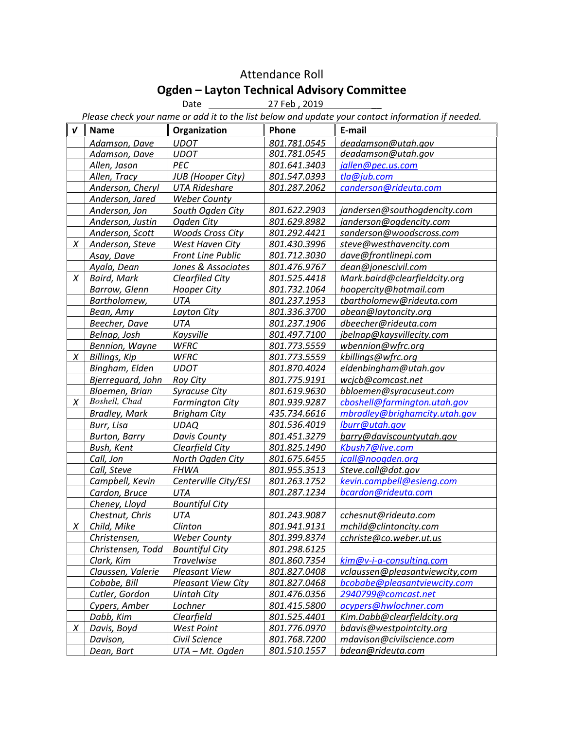# Attendance Roll Ogden – Layton Technical Advisory Committee

Date 27 Feb, 2019

Please check your name or add it to the list below and update your contact information if needed.

| V      | <b>Name</b>          | Organization              | Phone        | E-mail                         |
|--------|----------------------|---------------------------|--------------|--------------------------------|
|        | Adamson, Dave        | <b>UDOT</b>               | 801.781.0545 | deadamson@utah.gov             |
|        | Adamson, Dave        | <b>UDOT</b>               | 801.781.0545 | deadamson@utah.gov             |
|        | Allen, Jason         | PEC                       | 801.641.3403 | jallen@pec.us.com              |
|        | Allen, Tracy         | <b>JUB</b> (Hooper City)  | 801.547.0393 | tla@jub.com                    |
|        | Anderson, Cheryl     | <b>UTA Rideshare</b>      | 801.287.2062 | canderson@rideuta.com          |
|        | Anderson, Jared      | <b>Weber County</b>       |              |                                |
|        | Anderson, Jon        | South Ogden City          | 801.622.2903 | jandersen@southogdencity.com   |
|        | Anderson, Justin     | Ogden City                | 801.629.8982 | janderson@ogdencity.com        |
|        | Anderson, Scott      | <b>Woods Cross City</b>   | 801.292.4421 | sanderson@woodscross.com       |
| X      | Anderson, Steve      | West Haven City           | 801.430.3996 | steve@westhavencity.com        |
|        | Asay, Dave           | <b>Front Line Public</b>  | 801.712.3030 | dave@frontlinepi.com           |
|        | Ayala, Dean          | Jones & Associates        | 801.476.9767 | dean@jonescivil.com            |
| X      | <b>Baird, Mark</b>   | Clearfiled City           | 801.525.4418 | Mark.baird@clearfieldcity.org  |
|        | Barrow, Glenn        | <b>Hooper City</b>        | 801.732.1064 | hoopercity@hotmail.com         |
|        | Bartholomew,         | <b>UTA</b>                | 801.237.1953 | tbartholomew@rideuta.com       |
|        | Bean, Amy            | Layton City               | 801.336.3700 | abean@laytoncity.org           |
|        | Beecher, Dave        | <b>UTA</b>                | 801.237.1906 | dbeecher@rideuta.com           |
|        | Belnap, Josh         | Kaysville                 | 801.497.7100 | jbelnap@kaysvillecity.com      |
|        | Bennion, Wayne       | <b>WFRC</b>               | 801.773.5559 | wbennion@wfrc.org              |
| X      | Billings, Kip        | <b>WFRC</b>               | 801.773.5559 | kbillings@wfrc.org             |
|        | Bingham, Elden       | <b>UDOT</b>               | 801.870.4024 | eldenbingham@utah.gov          |
|        | Bjerreguard, John    | <b>Roy City</b>           | 801.775.9191 | wcjcb@comcast.net              |
|        | Bloemen, Brian       | <b>Syracuse City</b>      | 801.619.9630 | bbloemen@syracuseut.com        |
| Χ      | Boshell, Chad        | <b>Farmington City</b>    | 801.939.9287 | cboshell@farmington.utah.gov   |
|        | <b>Bradley, Mark</b> | <b>Brigham City</b>       | 435.734.6616 | mbradley@brighamcity.utah.gov  |
|        | Burr, Lisa           | <b>UDAQ</b>               | 801.536.4019 | lburr@utah.gov                 |
|        | <b>Burton, Barry</b> | <b>Davis County</b>       | 801.451.3279 | barry@daviscountyutah.gov      |
|        | Bush, Kent           | Clearfield City           | 801.825.1490 | Kbush7@live.com                |
|        | Call, Jon            | North Ogden City          | 801.675.6455 | jcall@noogden.org              |
|        | Call, Steve          | <b>FHWA</b>               | 801.955.3513 | Steve.call@dot.gov             |
|        | Campbell, Kevin      | Centerville City/ESI      | 801.263.1752 | kevin.campbell@esieng.com      |
|        | Cardon, Bruce        | UTA                       | 801.287.1234 | bcardon@rideuta.com            |
|        | Cheney, Lloyd        | <b>Bountiful City</b>     |              |                                |
|        | Chestnut, Chris      | UTA                       | 801.243.9087 | cchesnut@rideuta.com           |
| X      | Child, Mike          | Clinton                   | 801.941.9131 | mchild@clintoncity.com         |
|        | Christensen,         | <b>Weber County</b>       | 801.399.8374 | cchriste@co.weber.ut.us        |
|        | Christensen, Todd    | <b>Bountiful City</b>     | 801.298.6125 |                                |
|        | Clark, Kim           | <b>Travelwise</b>         | 801.860.7354 | kim@v-i-a-consulting.com       |
|        | Claussen, Valerie    | <b>Pleasant View</b>      | 801.827.0408 | vclaussen@pleasantviewcity,com |
|        | Cobabe, Bill         | <b>Pleasant View City</b> | 801.827.0468 | bcobabe@pleasantviewcity.com   |
|        | Cutler, Gordon       | <b>Uintah City</b>        | 801.476.0356 | 2940799@comcast.net            |
|        | Cypers, Amber        | Lochner                   | 801.415.5800 | acypers@hwlochner.com          |
|        | Dabb, Kim            | Clearfield                | 801.525.4401 | Kim.Dabb@clearfieldcity.org    |
| $\chi$ | Davis, Boyd          | West Point                | 801.776.0970 | bdavis@westpointcity.org       |
|        | Davison,             | Civil Science             | 801.768.7200 | mdavison@civilscience.com      |
|        | Dean, Bart           | UTA - Mt. Ogden           | 801.510.1557 | bdean@rideuta.com              |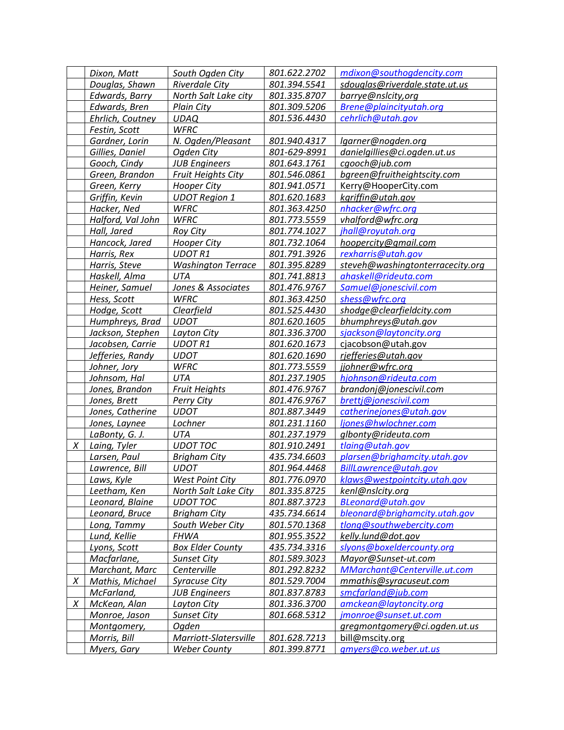|        | Dixon, Matt                 | South Ogden City               | 801.622.2702        | mdixon@southogdencity.com                        |
|--------|-----------------------------|--------------------------------|---------------------|--------------------------------------------------|
|        | Douglas, Shawn              | Riverdale City                 | 801.394.5541        | sdouglas@riverdale.state.ut.us                   |
|        | Edwards, Barry              | North Salt Lake city           | 801.335.8707        | barrye@nslcity,org                               |
|        | Edwards, Bren               | Plain City                     | 801.309.5206        | Brene@plaincityutah.org                          |
|        | Ehrlich, Coutney            | <b>UDAQ</b>                    | 801.536.4430        | cehrlich@utah.gov                                |
|        | Festin, Scott               | <b>WFRC</b>                    |                     |                                                  |
|        | Gardner, Lorin              | N. Ogden/Pleasant              | 801.940.4317        | lgarner@nogden.org                               |
|        | Gillies, Daniel             | Ogden City                     | 801-629-8991        | danielgillies@ci.ogden.ut.us                     |
|        | Gooch, Cindy                | <b>JUB Engineers</b>           | 801.643.1761        | cgooch@jub.com                                   |
|        | Green, Brandon              | <b>Fruit Heights City</b>      | 801.546.0861        | bgreen@fruitheightscity.com                      |
|        | Green, Kerry                | <b>Hooper City</b>             | 801.941.0571        | Kerry@HooperCity.com                             |
|        | Griffin, Kevin              | <b>UDOT Region 1</b>           | 801.620.1683        | kgriffin@utah.gov                                |
|        | Hacker, Ned                 | <b>WFRC</b>                    | 801.363.4250        | nhacker@wfrc.org                                 |
|        | Halford, Val John           | <b>WFRC</b>                    | 801.773.5559        | vhalford@wfrc.org                                |
|        | Hall, Jared                 | <b>Roy City</b>                | 801.774.1027        | jhall@royutah.org                                |
|        | Hancock, Jared              | <b>Hooper City</b>             | 801.732.1064        | hoopercity@gmail.com                             |
|        | Harris, Rex                 | <b>UDOTR1</b>                  | 801.791.3926        | rexharris@utah.gov                               |
|        | Harris, Steve               | <b>Washington Terrace</b>      | 801.395.8289        | steveh@washingtonterracecity.org                 |
|        | Haskell, Alma               | <b>UTA</b>                     | 801.741.8813        | ahaskell@rideuta.com                             |
|        | Heiner, Samuel              | Jones & Associates             | 801.476.9767        | Samuel@jonescivil.com                            |
|        | Hess, Scott                 | <b>WFRC</b>                    | 801.363.4250        | shess@wfrc.org                                   |
|        | Hodge, Scott                | Clearfield                     | 801.525.4430        | shodge@clearfieldcity.com                        |
|        | Humphreys, Brad             | <b>UDOT</b>                    | 801.620.1605        | bhumphreys@utah.gov                              |
|        | Jackson, Stephen            | Layton City                    | 801.336.3700        | sjackson@laytoncity.org                          |
|        | Jacobsen, Carrie            | <b>UDOTR1</b>                  | 801.620.1673        | cjacobson@utah.gov                               |
|        |                             | <b>UDOT</b>                    | 801.620.1690        |                                                  |
|        |                             |                                |                     |                                                  |
|        | Jefferies, Randy            |                                |                     | rjefferies@utah.gov                              |
|        | Johner, Jory                | <b>WFRC</b>                    | 801.773.5559        | jjohner@wfrc.org                                 |
|        | Johnsom, Hal                | UTA                            | 801.237.1905        | hjohnson@rideuta.com                             |
|        | Jones, Brandon              | <b>Fruit Heights</b>           | 801.476.9767        | brandonj@jonescivil.com                          |
|        | Jones, Brett                | <b>Perry City</b>              | 801.476.9767        | brettj@jonescivil.com                            |
|        | Jones, Catherine            | <b>UDOT</b>                    | 801.887.3449        | catherinejones@utah.gov                          |
|        | Jones, Laynee               | Lochner                        | 801.231.1160        | ljones@hwlochner.com                             |
|        | LaBonty, G. J.              | UTA                            | 801.237.1979        | glbonty@rideuta.com                              |
| $\chi$ | Laing, Tyler                | <b>UDOT TOC</b>                | 801.910.2491        | tlaing@utah.gov                                  |
|        | Larsen, Paul                | <b>Brigham City</b>            | 435.734.6603        | plarsen@brighamcity.utah.gov                     |
|        | Lawrence, Bill              | <b>UDOT</b>                    | 801.964.4468        | BillLawrence@utah.gov                            |
|        | Laws, Kyle                  | <b>West Point City</b>         | 801.776.0970        | klaws@westpointcity.utah.gov                     |
|        | Leetham, Ken                | North Salt Lake City           | 801.335.8725        | kenl@nslcity.org                                 |
|        | Leonard, Blaine             | <b>UDOT TOC</b>                | 801.887.3723        | BLeonard@utah.gov                                |
|        | Leonard, Bruce              | <b>Brigham City</b>            | 435.734.6614        | bleonard@brighamcity.utah.gov                    |
|        | Long, Tammy                 | South Weber City               | 801.570.1368        | tlong@southwebercity.com                         |
|        | Lund, Kellie                | <b>FHWA</b>                    | 801.955.3522        | kelly.lund@dot.gov                               |
|        | Lyons, Scott                | <b>Box Elder County</b>        | <u>435.734.3316</u> | slyons@boxeldercounty.org                        |
|        | Macfarlane,                 | <b>Sunset City</b>             | 801.589.3023        | Mayor@Sunset-ut.com                              |
|        | Marchant, Marc              | Centerville                    | 801.292.8232        | MMarchant@Centerville.ut.com                     |
| X      | Mathis, Michael             | <b>Syracuse City</b>           | 801.529.7004        | mmathis@syracuseut.com                           |
|        | McFarland,                  | <b>JUB Engineers</b>           | 801.837.8783        | smcfarland@jub.com                               |
| X      | McKean, Alan                | Layton City                    | 801.336.3700        | amckean@laytoncity.org                           |
|        | Monroe, Jason               | <b>Sunset City</b>             | 801.668.5312        | jmonroe@sunset.ut.com                            |
|        | Montgomery,<br>Morris, Bill | Ogden<br>Marriott-Slatersville | 801.628.7213        | gregmontgomery@ci.ogden.ut.us<br>bill@mscity.org |